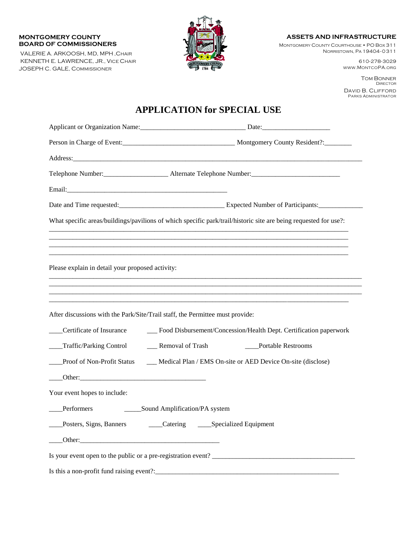#### **MONTGOMERY COUNTY BOARD OF COMMISSIONERS**

VALERIE A. ARKOOSH, MD, MPH ,CHAIR KENNETH E. LAWRENCE, JR., VICE CHAIR JOSEPH C. GALE, COMMISSIONER



#### **ASSETS AND INFRASTRUCTURE**

MONTGOMERY COUNTY COURTHOUSE • PO BOX 311 NORRISTOWN, PA 19404-0311

> 610-278-3029 WWW.MONTCOPA.ORG

TOM BONNER DIRECTOR DAVID B. CLIFFORD PARKS ADMINISTRATOR

# **APPLICATION for SPECIAL USE**

|                                                  | Person in Charge of Event:<br><u>Letter Architecture and Montgomery County Resident?</u>                         |
|--------------------------------------------------|------------------------------------------------------------------------------------------------------------------|
|                                                  | Address:                                                                                                         |
|                                                  |                                                                                                                  |
|                                                  |                                                                                                                  |
|                                                  | Date and Time requested:<br><u>Expected Number of Participants:</u>                                              |
|                                                  | What specific areas/buildings/pavilions of which specific park/trail/historic site are being requested for use?: |
|                                                  |                                                                                                                  |
|                                                  |                                                                                                                  |
| Please explain in detail your proposed activity: |                                                                                                                  |
|                                                  |                                                                                                                  |
|                                                  |                                                                                                                  |
|                                                  | After discussions with the Park/Site/Trail staff, the Permittee must provide:                                    |
| Certificate of Insurance                         | __ Food Disbursement/Concession/Health Dept. Certification paperwork                                             |
| ____Traffic/Parking Control                      | __ Removal of Trash<br>____Portable Restrooms                                                                    |
|                                                  | Proof of Non-Profit Status _____ Medical Plan / EMS On-site or AED Device On-site (disclose)                     |
|                                                  |                                                                                                                  |
| Your event hopes to include:                     |                                                                                                                  |
|                                                  |                                                                                                                  |
|                                                  | ___Posters, Signs, Banners ________Catering _______Specialized Equipment                                         |
| Other:                                           |                                                                                                                  |
|                                                  |                                                                                                                  |
| Is this a non-profit fund raising event?:        |                                                                                                                  |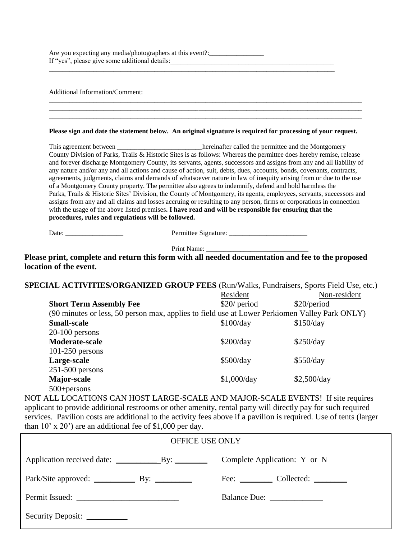Are you expecting any media/photographers at this event?:\_\_\_\_\_\_\_\_\_\_\_\_\_\_\_\_\_\_\_\_\_\_\_ If "yes", please give some additional details:\_\_\_\_\_\_\_\_\_\_\_\_\_\_\_\_\_\_\_\_\_\_\_\_\_\_\_\_\_\_\_\_\_\_\_\_\_\_\_\_\_\_\_\_\_\_\_\_

\_\_\_\_\_\_\_\_\_\_\_\_\_\_\_\_\_\_\_\_\_\_\_\_\_\_\_\_\_\_\_\_\_\_\_\_\_\_\_\_\_\_\_\_\_\_\_\_\_\_\_\_\_\_\_\_\_\_\_\_\_\_\_\_\_\_\_\_\_\_\_\_\_\_\_\_\_\_\_\_\_\_\_\_

Additional Information/Comment:

|                                                     | Please sign and date the statement below. An original signature is required for processing of your request.          |
|-----------------------------------------------------|----------------------------------------------------------------------------------------------------------------------|
|                                                     | This agreement between _________________________hereinafter called the permittee and the Montgomery                  |
|                                                     | County Division of Parks, Trails & Historic Sites is as follows: Whereas the permittee does hereby remise, release   |
|                                                     | and forever discharge Montgomery County, its servants, agents, successors and assigns from any and all liability of  |
|                                                     | any nature and/or any and all actions and cause of action, suit, debts, dues, accounts, bonds, covenants, contracts, |
|                                                     | agreements, judgments, claims and demands of whatsoever nature in law of inequity arising from or due to the use     |
|                                                     | of a Montgomery County property. The permittee also agrees to indemnify, defend and hold harmless the                |
|                                                     | Parks, Trails & Historic Sites' Division, the County of Montgomery, its agents, employees, servants, successors and  |
|                                                     | assigns from any and all claims and losses accruing or resulting to any person, firms or corporations in connection  |
|                                                     | with the usage of the above listed premises. I have read and will be responsible for ensuring that the               |
| procedures, rules and regulations will be followed. |                                                                                                                      |

 $\overline{a}$  , and the state of the state of the state of the state of the state of the state of the state of the state of the state of the state of the state of the state of the state of the state of the state of the state o

| Date: |  |
|-------|--|
|-------|--|

Date: \_\_\_\_\_\_\_\_\_\_\_\_\_\_\_\_\_ Permittee Signature: \_\_\_\_\_\_\_\_\_\_\_\_\_\_\_\_\_\_\_\_\_\_\_

Print Name: \_\_\_\_\_\_\_\_\_\_\_\_\_\_\_\_\_\_\_\_\_\_\_\_\_\_\_\_\_\_

**Please print, complete and return this form with all needed documentation and fee to the proposed location of the event.**

| <b>SPECIAL ACTIVITIES/ORGANIZED GROUP FEES (Run/Walks, Fundraisers, Sports Field Use, etc.)</b> |               |              |  |  |
|-------------------------------------------------------------------------------------------------|---------------|--------------|--|--|
|                                                                                                 | Resident      | Non-resident |  |  |
| <b>Short Term Assembly Fee</b>                                                                  | $$20/$ period | \$20/period  |  |  |
| (90 minutes or less, 50 person max, applies to field use at Lower Perkiomen Valley Park ONLY)   |               |              |  |  |
| <b>Small-scale</b>                                                                              | \$100/day     | \$150/day    |  |  |
| $20-100$ persons                                                                                |               |              |  |  |
| Moderate-scale                                                                                  | \$200/day     | \$250/day    |  |  |
| $101-250$ persons                                                                               |               |              |  |  |
| Large-scale                                                                                     | \$500/day     | \$550/day    |  |  |
| $251-500$ persons                                                                               |               |              |  |  |
| Major-scale                                                                                     | \$1,000/day   | \$2,500/day  |  |  |
| $500 + persons$                                                                                 |               |              |  |  |

NOT ALL LOCATIONS CAN HOST LARGE-SCALE AND MAJOR-SCALE EVENTS! If site requires applicant to provide additional restrooms or other amenity, rental party will directly pay for such required services. Pavilion costs are additional to the activity fees above if a pavilion is required. Use of tents (larger than 10' x 20') are an additional fee of \$1,000 per day.

| <b>OFFICE USE ONLY</b>        |                                                      |  |  |  |
|-------------------------------|------------------------------------------------------|--|--|--|
|                               | Complete Application: Y or N                         |  |  |  |
|                               | Fee: $\qquad \qquad \text{Collected:} \qquad \qquad$ |  |  |  |
|                               | Balance Due:                                         |  |  |  |
| Security Deposit: ___________ |                                                      |  |  |  |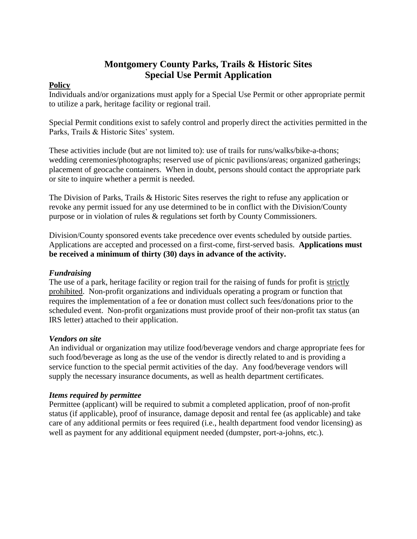## **Montgomery County Parks, Trails & Historic Sites Special Use Permit Application**

### **Policy**

Individuals and/or organizations must apply for a Special Use Permit or other appropriate permit to utilize a park, heritage facility or regional trail.

Special Permit conditions exist to safely control and properly direct the activities permitted in the Parks, Trails & Historic Sites' system.

These activities include (but are not limited to): use of trails for runs/walks/bike-a-thons; wedding ceremonies/photographs; reserved use of picnic pavilions/areas; organized gatherings; placement of geocache containers. When in doubt, persons should contact the appropriate park or site to inquire whether a permit is needed.

The Division of Parks, Trails & Historic Sites reserves the right to refuse any application or revoke any permit issued for any use determined to be in conflict with the Division/County purpose or in violation of rules & regulations set forth by County Commissioners.

Division/County sponsored events take precedence over events scheduled by outside parties. Applications are accepted and processed on a first-come, first-served basis. **Applications must be received a minimum of thirty (30) days in advance of the activity.** 

## *Fundraising*

The use of a park, heritage facility or region trail for the raising of funds for profit is strictly prohibited. Non-profit organizations and individuals operating a program or function that requires the implementation of a fee or donation must collect such fees/donations prior to the scheduled event. Non-profit organizations must provide proof of their non-profit tax status (an IRS letter) attached to their application.

### *Vendors on site*

An individual or organization may utilize food/beverage vendors and charge appropriate fees for such food/beverage as long as the use of the vendor is directly related to and is providing a service function to the special permit activities of the day. Any food/beverage vendors will supply the necessary insurance documents, as well as health department certificates.

### *Items required by permittee*

Permittee (applicant) will be required to submit a completed application, proof of non-profit status (if applicable), proof of insurance, damage deposit and rental fee (as applicable) and take care of any additional permits or fees required (i.e., health department food vendor licensing) as well as payment for any additional equipment needed (dumpster, port-a-johns, etc.).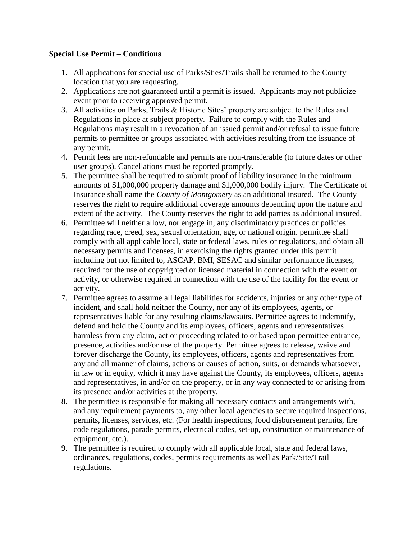#### **Special Use Permit – Conditions**

- 1. All applications for special use of Parks/Sties/Trails shall be returned to the County location that you are requesting.
- 2. Applications are not guaranteed until a permit is issued. Applicants may not publicize event prior to receiving approved permit.
- 3. All activities on Parks, Trails & Historic Sites' property are subject to the Rules and Regulations in place at subject property. Failure to comply with the Rules and Regulations may result in a revocation of an issued permit and/or refusal to issue future permits to permittee or groups associated with activities resulting from the issuance of any permit.
- 4. Permit fees are non-refundable and permits are non-transferable (to future dates or other user groups). Cancellations must be reported promptly.
- 5. The permittee shall be required to submit proof of liability insurance in the minimum amounts of \$1,000,000 property damage and \$1,000,000 bodily injury. The Certificate of Insurance shall name the *County of Montgomery* as an additional insured. The County reserves the right to require additional coverage amounts depending upon the nature and extent of the activity. The County reserves the right to add parties as additional insured.
- 6. Permittee will neither allow, nor engage in, any discriminatory practices or policies regarding race, creed, sex, sexual orientation, age, or national origin. permittee shall comply with all applicable local, state or federal laws, rules or regulations, and obtain all necessary permits and licenses, in exercising the rights granted under this permit including but not limited to, ASCAP, BMI, SESAC and similar performance licenses, required for the use of copyrighted or licensed material in connection with the event or activity, or otherwise required in connection with the use of the facility for the event or activity.
- 7. Permittee agrees to assume all legal liabilities for accidents, injuries or any other type of incident, and shall hold neither the County, nor any of its employees, agents, or representatives liable for any resulting claims/lawsuits. Permittee agrees to indemnify, defend and hold the County and its employees, officers, agents and representatives harmless from any claim, act or proceeding related to or based upon permittee entrance, presence, activities and/or use of the property. Permittee agrees to release, waive and forever discharge the County, its employees, officers, agents and representatives from any and all manner of claims, actions or causes of action, suits, or demands whatsoever, in law or in equity, which it may have against the County, its employees, officers, agents and representatives, in and/or on the property, or in any way connected to or arising from its presence and/or activities at the property.
- 8. The permittee is responsible for making all necessary contacts and arrangements with, and any requirement payments to, any other local agencies to secure required inspections, permits, licenses, services, etc. (For health inspections, food disbursement permits, fire code regulations, parade permits, electrical codes, set-up, construction or maintenance of equipment, etc.).
- 9. The permittee is required to comply with all applicable local, state and federal laws, ordinances, regulations, codes, permits requirements as well as Park/Site/Trail regulations.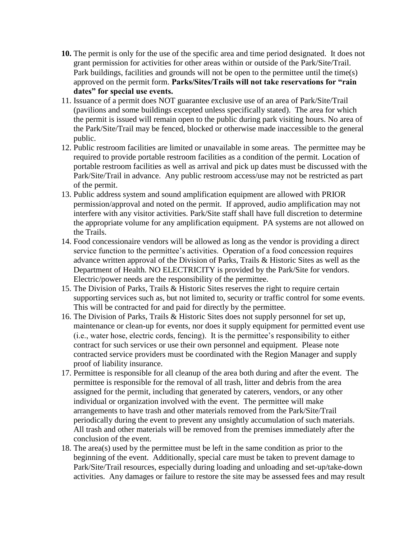- **10.** The permit is only for the use of the specific area and time period designated. It does not grant permission for activities for other areas within or outside of the Park/Site/Trail. Park buildings, facilities and grounds will not be open to the permittee until the time(s) approved on the permit form. **Parks/Sites/Trails will not take reservations for "rain dates" for special use events.**
- 11. Issuance of a permit does NOT guarantee exclusive use of an area of Park/Site/Trail (pavilions and some buildings excepted unless specifically stated). The area for which the permit is issued will remain open to the public during park visiting hours. No area of the Park/Site/Trail may be fenced, blocked or otherwise made inaccessible to the general public.
- 12. Public restroom facilities are limited or unavailable in some areas. The permittee may be required to provide portable restroom facilities as a condition of the permit. Location of portable restroom facilities as well as arrival and pick up dates must be discussed with the Park/Site/Trail in advance. Any public restroom access/use may not be restricted as part of the permit.
- 13. Public address system and sound amplification equipment are allowed with PRIOR permission/approval and noted on the permit. If approved, audio amplification may not interfere with any visitor activities. Park/Site staff shall have full discretion to determine the appropriate volume for any amplification equipment. PA systems are not allowed on the Trails.
- 14. Food concessionaire vendors will be allowed as long as the vendor is providing a direct service function to the permittee's activities. Operation of a food concession requires advance written approval of the Division of Parks, Trails & Historic Sites as well as the Department of Health. NO ELECTRICITY is provided by the Park/Site for vendors. Electric/power needs are the responsibility of the permittee.
- 15. The Division of Parks, Trails & Historic Sites reserves the right to require certain supporting services such as, but not limited to, security or traffic control for some events. This will be contracted for and paid for directly by the permittee.
- 16. The Division of Parks, Trails & Historic Sites does not supply personnel for set up, maintenance or clean-up for events, nor does it supply equipment for permitted event use (i.e., water hose, electric cords, fencing). It is the permittee's responsibility to either contract for such services or use their own personnel and equipment. Please note contracted service providers must be coordinated with the Region Manager and supply proof of liability insurance.
- 17. Permittee is responsible for all cleanup of the area both during and after the event. The permittee is responsible for the removal of all trash, litter and debris from the area assigned for the permit, including that generated by caterers, vendors, or any other individual or organization involved with the event. The permittee will make arrangements to have trash and other materials removed from the Park/Site/Trail periodically during the event to prevent any unsightly accumulation of such materials. All trash and other materials will be removed from the premises immediately after the conclusion of the event.
- 18. The area(s) used by the permittee must be left in the same condition as prior to the beginning of the event. Additionally, special care must be taken to prevent damage to Park/Site/Trail resources, especially during loading and unloading and set-up/take-down activities. Any damages or failure to restore the site may be assessed fees and may result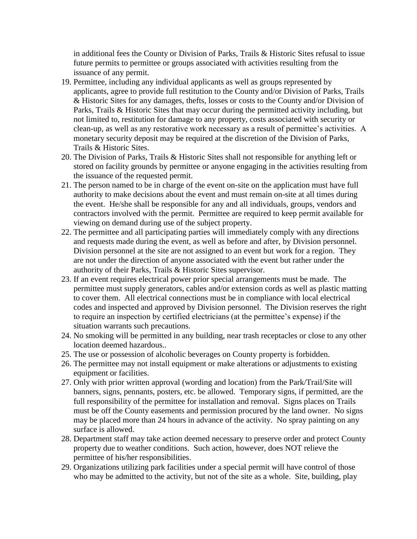in additional fees the County or Division of Parks, Trails & Historic Sites refusal to issue future permits to permittee or groups associated with activities resulting from the issuance of any permit.

- 19. Permittee, including any individual applicants as well as groups represented by applicants, agree to provide full restitution to the County and/or Division of Parks, Trails & Historic Sites for any damages, thefts, losses or costs to the County and/or Division of Parks, Trails & Historic Sites that may occur during the permitted activity including, but not limited to, restitution for damage to any property, costs associated with security or clean-up, as well as any restorative work necessary as a result of permittee's activities. A monetary security deposit may be required at the discretion of the Division of Parks, Trails & Historic Sites.
- 20. The Division of Parks, Trails & Historic Sites shall not responsible for anything left or stored on facility grounds by permittee or anyone engaging in the activities resulting from the issuance of the requested permit.
- 21. The person named to be in charge of the event on-site on the application must have full authority to make decisions about the event and must remain on-site at all times during the event. He/she shall be responsible for any and all individuals, groups, vendors and contractors involved with the permit. Permittee are required to keep permit available for viewing on demand during use of the subject property.
- 22. The permittee and all participating parties will immediately comply with any directions and requests made during the event, as well as before and after, by Division personnel. Division personnel at the site are not assigned to an event but work for a region. They are not under the direction of anyone associated with the event but rather under the authority of their Parks, Trails & Historic Sites supervisor.
- 23. If an event requires electrical power prior special arrangements must be made. The permittee must supply generators, cables and/or extension cords as well as plastic matting to cover them. All electrical connections must be in compliance with local electrical codes and inspected and approved by Division personnel. The Division reserves the right to require an inspection by certified electricians (at the permittee's expense) if the situation warrants such precautions.
- 24. No smoking will be permitted in any building, near trash receptacles or close to any other location deemed hazardous..
- 25. The use or possession of alcoholic beverages on County property is forbidden.
- 26. The permittee may not install equipment or make alterations or adjustments to existing equipment or facilities.
- 27. Only with prior written approval (wording and location) from the Park/Trail/Site will banners, signs, pennants, posters, etc. be allowed. Temporary signs, if permitted, are the full responsibility of the permittee for installation and removal. Signs places on Trails must be off the County easements and permission procured by the land owner. No signs may be placed more than 24 hours in advance of the activity. No spray painting on any surface is allowed.
- 28. Department staff may take action deemed necessary to preserve order and protect County property due to weather conditions. Such action, however, does NOT relieve the permittee of his/her responsibilities.
- 29. Organizations utilizing park facilities under a special permit will have control of those who may be admitted to the activity, but not of the site as a whole. Site, building, play